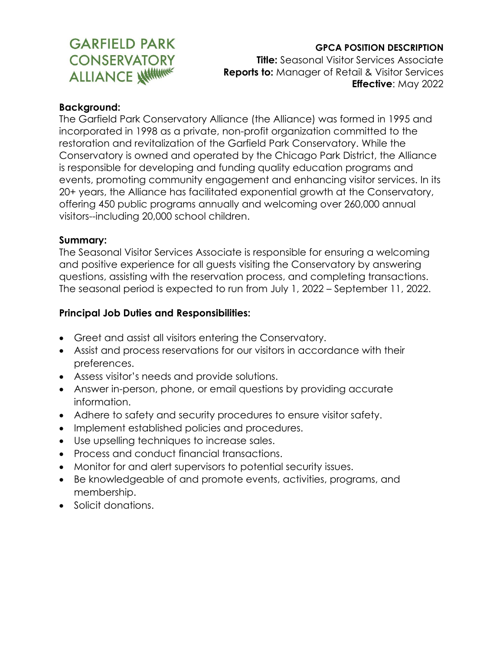# **GARFIELD PARK CONSERVATORY ALLIANCE WITHINK**

#### **GPCA POSITION DESCRIPTION**

**Title:** Seasonal Visitor Services Associate **Reports to:** Manager of Retail & Visitor Services **Effective**: May 2022

#### **Background:**

The Garfield Park Conservatory Alliance (the Alliance) was formed in 1995 and incorporated in 1998 as a private, non-profit organization committed to the restoration and revitalization of the Garfield Park Conservatory. While the Conservatory is owned and operated by the Chicago Park District, the Alliance is responsible for developing and funding quality education programs and events, promoting community engagement and enhancing visitor services. In its 20+ years, the Alliance has facilitated exponential growth at the Conservatory, offering 450 public programs annually and welcoming over 260,000 annual visitors--including 20,000 school children.

#### **Summary:**

The Seasonal Visitor Services Associate is responsible for ensuring a welcoming and positive experience for all guests visiting the Conservatory by answering questions, assisting with the reservation process, and completing transactions. The seasonal period is expected to run from July 1, 2022 – September 11, 2022.

#### **Principal Job Duties and Responsibilities:**

- Greet and assist all visitors entering the Conservatory.
- Assist and process reservations for our visitors in accordance with their preferences.
- Assess visitor's needs and provide solutions.
- Answer in-person, phone, or email questions by providing accurate information.
- Adhere to safety and security procedures to ensure visitor safety.
- Implement established policies and procedures.
- Use upselling techniques to increase sales.
- Process and conduct financial transactions.
- Monitor for and alert supervisors to potential security issues.
- Be knowledgeable of and promote events, activities, programs, and membership.
- Solicit donations.